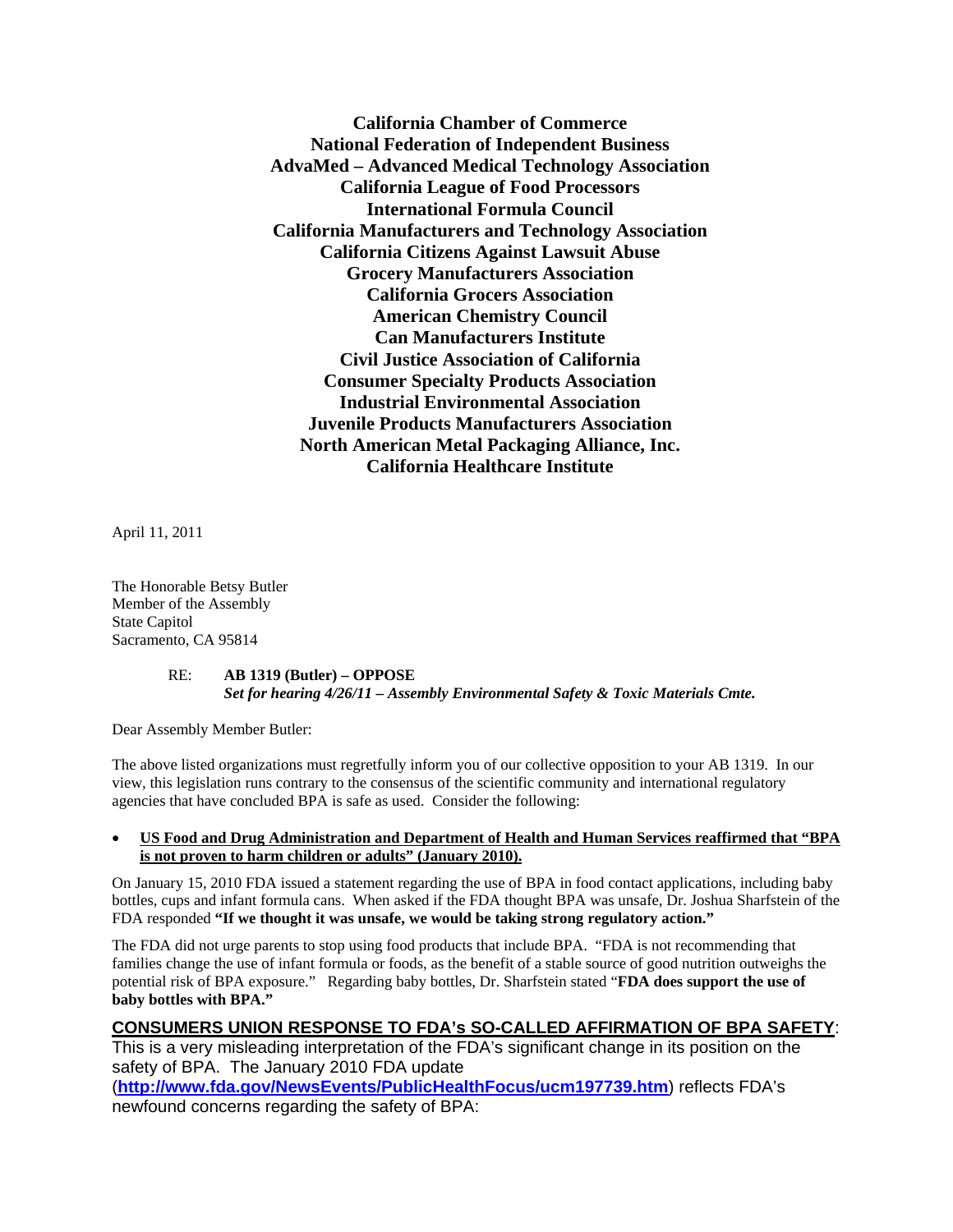**California Chamber of Commerce National Federation of Independent Business AdvaMed – Advanced Medical Technology Association California League of Food Processors International Formula Council California Manufacturers and Technology Association California Citizens Against Lawsuit Abuse Grocery Manufacturers Association California Grocers Association American Chemistry Council Can Manufacturers Institute Civil Justice Association of California Consumer Specialty Products Association Industrial Environmental Association Juvenile Products Manufacturers Association North American Metal Packaging Alliance, Inc. California Healthcare Institute** 

April 11, 2011

The Honorable Betsy Butler Member of the Assembly State Capitol Sacramento, CA 95814

#### RE: **AB 1319 (Butler) – OPPOSE** *Set for hearing 4/26/11 – Assembly Environmental Safety & Toxic Materials Cmte.*

Dear Assembly Member Butler:

The above listed organizations must regretfully inform you of our collective opposition to your AB 1319. In our view, this legislation runs contrary to the consensus of the scientific community and international regulatory agencies that have concluded BPA is safe as used. Consider the following:

#### • **US Food and Drug Administration and Department of Health and Human Services reaffirmed that "BPA is not proven to harm children or adults" (January 2010).**

On January 15, 2010 FDA issued a statement regarding the use of BPA in food contact applications, including baby bottles, cups and infant formula cans. When asked if the FDA thought BPA was unsafe, Dr. Joshua Sharfstein of the FDA responded **"If we thought it was unsafe, we would be taking strong regulatory action."**

The FDA did not urge parents to stop using food products that include BPA. "FDA is not recommending that families change the use of infant formula or foods, as the benefit of a stable source of good nutrition outweighs the potential risk of BPA exposure." Regarding baby bottles, Dr. Sharfstein stated "**FDA does support the use of baby bottles with BPA."** 

# **CONSUMERS UNION RESPONSE TO FDA's SO-CALLED AFFIRMATION OF BPA SAFETY**:

This is a very misleading interpretation of the FDA's significant change in its position on the safety of BPA. The January 2010 FDA update (**<http://www.fda.gov/NewsEvents/PublicHealthFocus/ucm197739.htm>**) reflects FDA's newfound concerns regarding the safety of BPA: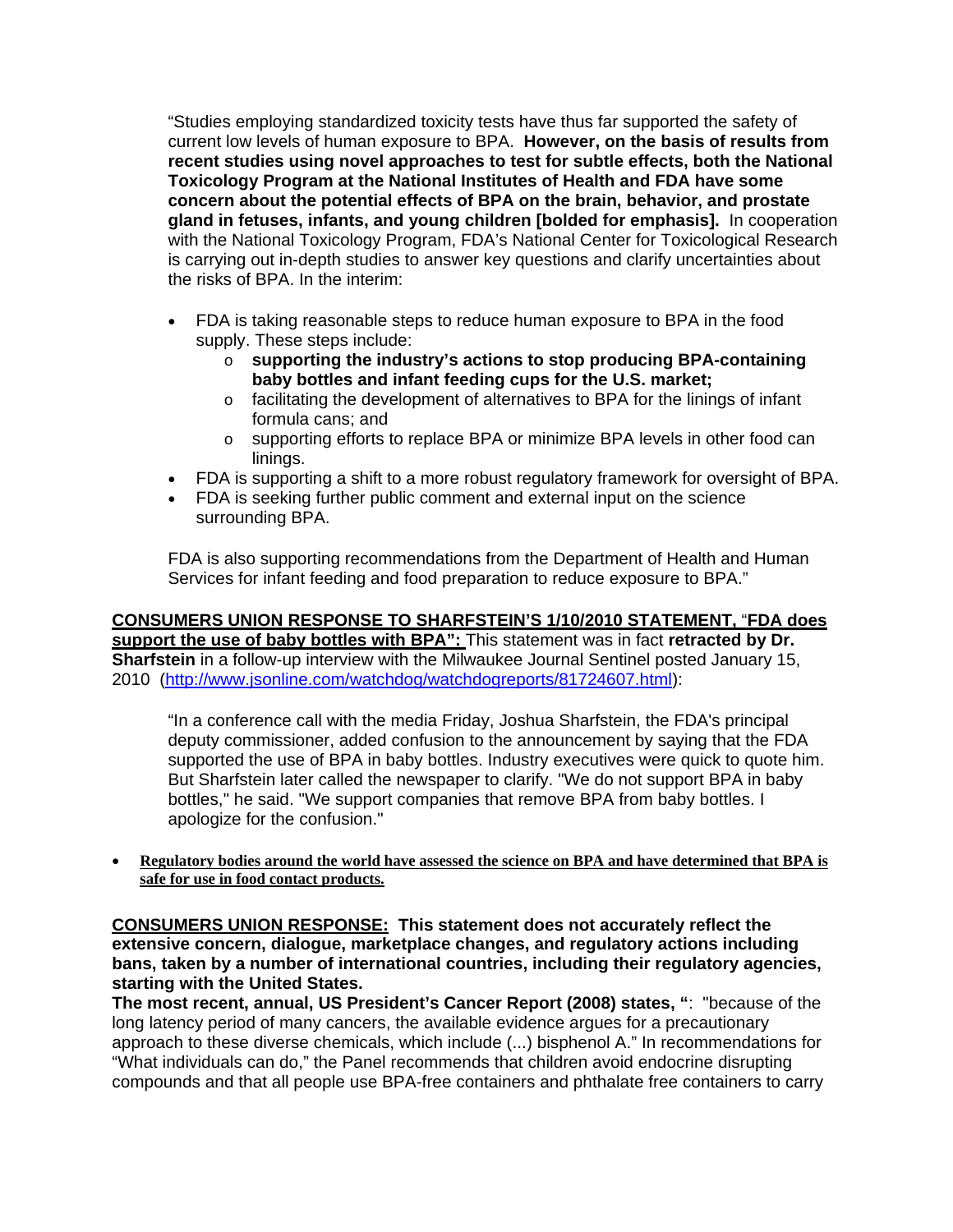"Studies employing standardized toxicity tests have thus far supported the safety of current low levels of human exposure to BPA. **However, on the basis of results from recent studies using novel approaches to test for subtle effects, both the National Toxicology Program at the National Institutes of Health and FDA have some concern about the potential effects of BPA on the brain, behavior, and prostate gland in fetuses, infants, and young children [bolded for emphasis].** In cooperation with the National Toxicology Program, FDA's National Center for Toxicological Research is carrying out in-depth studies to answer key questions and clarify uncertainties about the risks of BPA. In the interim:

- FDA is taking reasonable steps to reduce human exposure to BPA in the food supply. These steps include:
	- o **supporting the industry's actions to stop producing BPA-containing baby bottles and infant feeding cups for the U.S. market;**
	- o facilitating the development of alternatives to BPA for the linings of infant formula cans; and
	- o supporting efforts to replace BPA or minimize BPA levels in other food can linings.
- FDA is supporting a shift to a more robust regulatory framework for oversight of BPA.
- FDA is seeking further public comment and external input on the science surrounding BPA.

FDA is also supporting recommendations from the Department of Health and Human Services for infant feeding and food preparation to reduce exposure to BPA."

## **CONSUMERS UNION RESPONSE TO SHARFSTEIN'S 1/10/2010 STATEMENT,** "**FDA does support the use of baby bottles with BPA":** This statement was in fact **retracted by Dr. Sharfstein** in a follow-up interview with the Milwaukee Journal Sentinel posted January 15, 2010 [\(http://www.jsonline.com/watchdog/watchdogreports/81724607.html](http://www.jsonline.com/watchdog/watchdogreports/81724607.html)):

"In a conference call with the media Friday, Joshua Sharfstein, the FDA's principal deputy commissioner, added confusion to the announcement by saying that the FDA supported the use of BPA in baby bottles. Industry executives were quick to quote him. But Sharfstein later called the newspaper to clarify. "We do not support BPA in baby bottles," he said. "We support companies that remove BPA from baby bottles. I apologize for the confusion."

• **Regulatory bodies around the world have assessed the science on BPA and have determined that BPA is safe for use in food contact products.**

**CONSUMERS UNION RESPONSE: This statement does not accurately reflect the extensive concern, dialogue, marketplace changes, and regulatory actions including bans, taken by a number of international countries, including their regulatory agencies, starting with the United States.** 

**The most recent, annual, US President's Cancer Report (2008) states, "**: "because of the long latency period of many cancers, the available evidence argues for a precautionary approach to these diverse chemicals, which include (...) bisphenol A." In recommendations for "What individuals can do," the Panel recommends that children avoid endocrine disrupting compounds and that all people use BPA-free containers and phthalate free containers to carry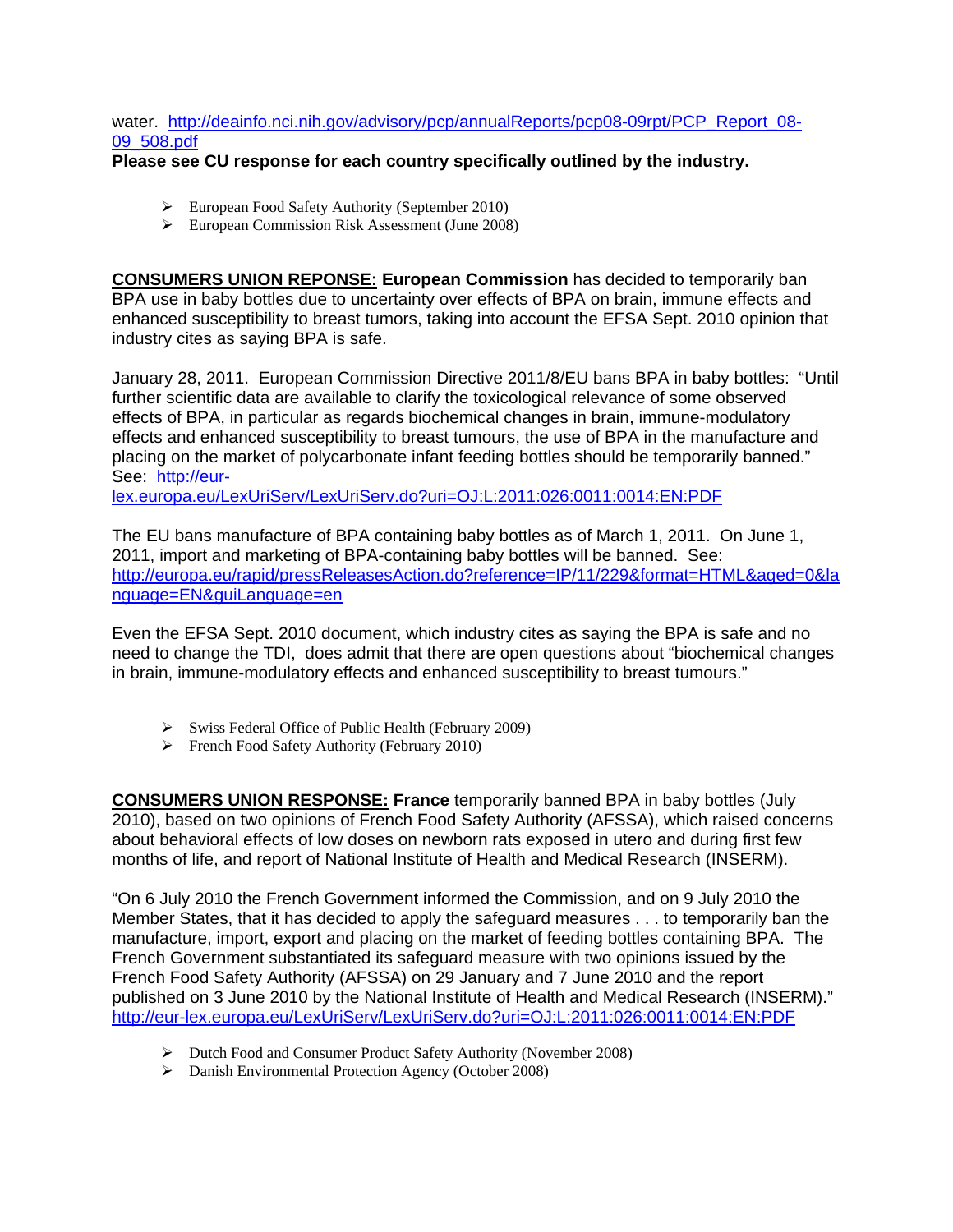water. [http://deainfo.nci.nih.gov/advisory/pcp/annualReports/pcp08-09rpt/PCP\\_Report\\_08-](http://deainfo.nci.nih.gov/advisory/pcp/annualReports/pcp08-09rpt/PCP_Report_08-09_508.pdf) [09\\_508.pdf](http://deainfo.nci.nih.gov/advisory/pcp/annualReports/pcp08-09rpt/PCP_Report_08-09_508.pdf)

## **Please see CU response for each country specifically outlined by the industry.**

- ¾ European Food Safety Authority (September 2010)
- ¾ European Commission Risk Assessment (June 2008)

**CONSUMERS UNION REPONSE: European Commission** has decided to temporarily ban BPA use in baby bottles due to uncertainty over effects of BPA on brain, immune effects and enhanced susceptibility to breast tumors, taking into account the EFSA Sept. 2010 opinion that industry cites as saying BPA is safe.

January 28, 2011. European Commission Directive 2011/8/EU bans BPA in baby bottles: "Until further scientific data are available to clarify the toxicological relevance of some observed effects of BPA, in particular as regards biochemical changes in brain, immune-modulatory effects and enhanced susceptibility to breast tumours, the use of BPA in the manufacture and placing on the market of polycarbonate infant feeding bottles should be temporarily banned." See: [http://eur-](http://eur-lex.europa.eu/LexUriServ/LexUriServ.do?uri=OJ:L:2011:026:0011:0014:EN:PDF)

[lex.europa.eu/LexUriServ/LexUriServ.do?uri=OJ:L:2011:026:0011:0014:EN:PDF](http://eur-lex.europa.eu/LexUriServ/LexUriServ.do?uri=OJ:L:2011:026:0011:0014:EN:PDF)

The EU bans manufacture of BPA containing baby bottles as of March 1, 2011. On June 1, 2011, import and marketing of BPA-containing baby bottles will be banned. See: [http://europa.eu/rapid/pressReleasesAction.do?reference=IP/11/229&format=HTML&aged=0&la](http://europa.eu/rapid/pressReleasesAction.do?reference=IP/11/229&format=HTML&aged=0&language=EN&guiLanguage=en) [nguage=EN&guiLanguage=en](http://europa.eu/rapid/pressReleasesAction.do?reference=IP/11/229&format=HTML&aged=0&language=EN&guiLanguage=en)

Even the EFSA Sept. 2010 document, which industry cites as saying the BPA is safe and no need to change the TDI, does admit that there are open questions about "biochemical changes in brain, immune-modulatory effects and enhanced susceptibility to breast tumours."

- $\triangleright$  Swiss Federal Office of Public Health (February 2009)
- ¾ French Food Safety Authority (February 2010)

**CONSUMERS UNION RESPONSE: France** temporarily banned BPA in baby bottles (July 2010), based on two opinions of French Food Safety Authority (AFSSA), which raised concerns about behavioral effects of low doses on newborn rats exposed in utero and during first few months of life, and report of National Institute of Health and Medical Research (INSERM).

"On 6 July 2010 the French Government informed the Commission, and on 9 July 2010 the Member States, that it has decided to apply the safeguard measures . . . to temporarily ban the manufacture, import, export and placing on the market of feeding bottles containing BPA. The French Government substantiated its safeguard measure with two opinions issued by the French Food Safety Authority (AFSSA) on 29 January and 7 June 2010 and the report published on 3 June 2010 by the National Institute of Health and Medical Research (INSERM)." <http://eur-lex.europa.eu/LexUriServ/LexUriServ.do?uri=OJ:L:2011:026:0011:0014:EN:PDF>

- ¾ Dutch Food and Consumer Product Safety Authority (November 2008)
- ¾ Danish Environmental Protection Agency (October 2008)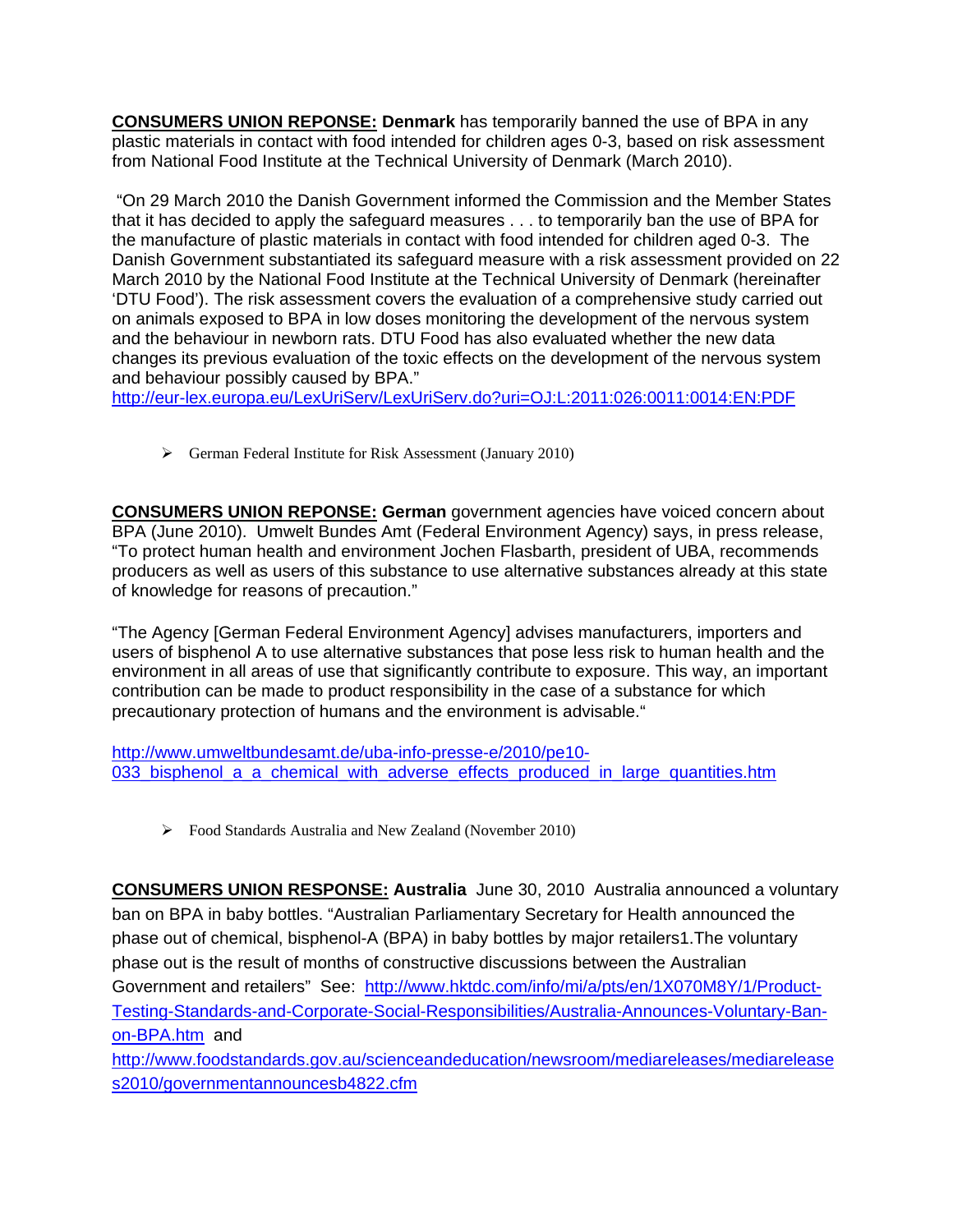**CONSUMERS UNION REPONSE: Denmark** has temporarily banned the use of BPA in any plastic materials in contact with food intended for children ages 0-3, based on risk assessment from National Food Institute at the Technical University of Denmark (March 2010).

 "On 29 March 2010 the Danish Government informed the Commission and the Member States that it has decided to apply the safeguard measures . . . to temporarily ban the use of BPA for the manufacture of plastic materials in contact with food intended for children aged 0-3. The Danish Government substantiated its safeguard measure with a risk assessment provided on 22 March 2010 by the National Food Institute at the Technical University of Denmark (hereinafter 'DTU Food'). The risk assessment covers the evaluation of a comprehensive study carried out on animals exposed to BPA in low doses monitoring the development of the nervous system and the behaviour in newborn rats. DTU Food has also evaluated whether the new data changes its previous evaluation of the toxic effects on the development of the nervous system and behaviour possibly caused by BPA."

<http://eur-lex.europa.eu/LexUriServ/LexUriServ.do?uri=OJ:L:2011:026:0011:0014:EN:PDF>

¾ German Federal Institute for Risk Assessment (January 2010)

**CONSUMERS UNION REPONSE: German** government agencies have voiced concern about BPA (June 2010). Umwelt Bundes Amt (Federal Environment Agency) says, in press release, "To protect human health and environment Jochen Flasbarth, president of UBA, recommends producers as well as users of this substance to use alternative substances already at this state of knowledge for reasons of precaution."

"The Agency [German Federal Environment Agency] advises manufacturers, importers and users of bisphenol A to use alternative substances that pose less risk to human health and the environment in all areas of use that significantly contribute to exposure. This way, an important contribution can be made to product responsibility in the case of a substance for which precautionary protection of humans and the environment is advisable."

[http://www.umweltbundesamt.de/uba-info-presse-e/2010/pe10-](http://www.umweltbundesamt.de/uba-info-presse-e/2010/pe10-033_bisphenol_a_a_chemical_with_adverse_effects_produced_in_large_quantities.htm) 033 bisphenol a a chemical with adverse effects produced in large quantities.htm

¾ Food Standards Australia and New Zealand (November 2010)

**CONSUMERS UNION RESPONSE: Australia** June 30, 2010 Australia announced a voluntary ban on BPA in baby bottles. "Australian Parliamentary Secretary for Health announced the phase out of chemical, bisphenol-A (BPA) in baby bottles by major retailers1.The voluntary phase out is the result of months of constructive discussions between the Australian Government and retailers" See: [http://www.hktdc.com/info/mi/a/pts/en/1X070M8Y/1/Product-](http://www.hktdc.com/info/mi/a/pts/en/1X070M8Y/1/Product-Testing-Standards-and-Corporate-Social-Responsibilities/Australia-Announces-Voluntary-Ban-on-BPA.htm)[Testing-Standards-and-Corporate-Social-Responsibilities/Australia-Announces-Voluntary-Ban](http://www.hktdc.com/info/mi/a/pts/en/1X070M8Y/1/Product-Testing-Standards-and-Corporate-Social-Responsibilities/Australia-Announces-Voluntary-Ban-on-BPA.htm)[on-BPA.htm](http://www.hktdc.com/info/mi/a/pts/en/1X070M8Y/1/Product-Testing-Standards-and-Corporate-Social-Responsibilities/Australia-Announces-Voluntary-Ban-on-BPA.htm) and

[http://www.foodstandards.gov.au/scienceandeducation/newsroom/mediareleases/mediarelease](http://www.foodstandards.gov.au/scienceandeducation/newsroom/mediareleases/mediareleases2010/governmentannouncesb4822.cfm) [s2010/governmentannouncesb4822.cfm](http://www.foodstandards.gov.au/scienceandeducation/newsroom/mediareleases/mediareleases2010/governmentannouncesb4822.cfm)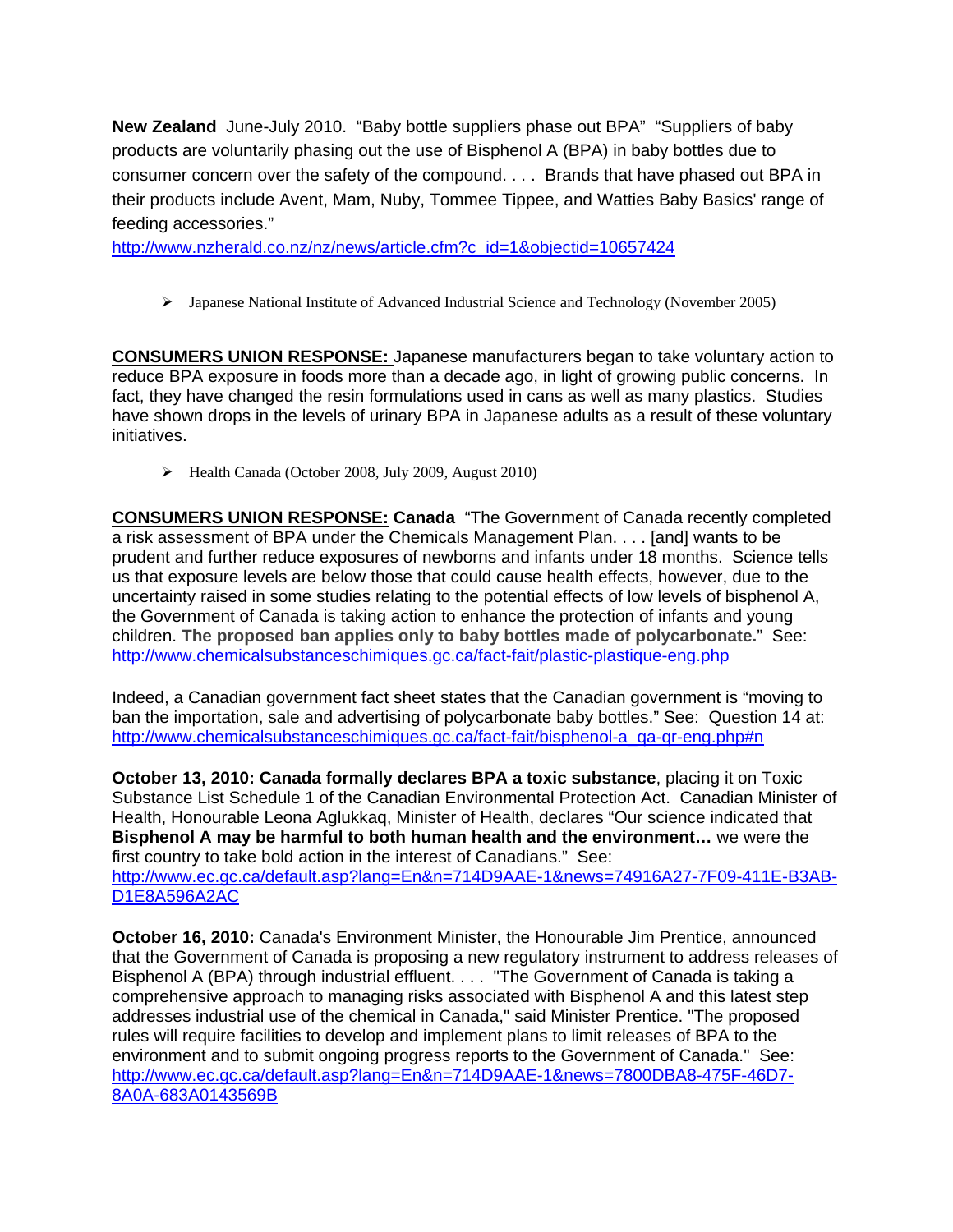**New Zealand** June-July 2010. "Baby bottle suppliers phase out BPA" "Suppliers of baby products are voluntarily phasing out the use of Bisphenol A (BPA) in baby bottles due to consumer concern over the safety of the compound. . . . Brands that have phased out BPA in their products include Avent, Mam, Nuby, Tommee Tippee, and Watties Baby Basics' range of feeding accessories."

[http://www.nzherald.co.nz/nz/news/article.cfm?c\\_id=1&objectid=10657424](http://www.nzherald.co.nz/nz/news/article.cfm?c_id=1&objectid=10657424) 

¾ Japanese National Institute of Advanced Industrial Science and Technology (November 2005)

**CONSUMERS UNION RESPONSE:** Japanese manufacturers began to take voluntary action to reduce BPA exposure in foods more than a decade ago, in light of growing public concerns. In fact, they have changed the resin formulations used in cans as well as many plastics. Studies have shown drops in the levels of urinary BPA in Japanese adults as a result of these voluntary initiatives.

¾ Health Canada (October 2008, July 2009, August 2010)

**CONSUMERS UNION RESPONSE: Canada** "The Government of Canada recently completed a risk assessment of BPA under the Chemicals Management Plan. . . . [and] wants to be prudent and further reduce exposures of newborns and infants under 18 months. Science tells us that exposure levels are below those that could cause health effects, however, due to the uncertainty raised in some studies relating to the potential effects of low levels of bisphenol A, the Government of Canada is taking action to enhance the protection of infants and young children. **The proposed ban applies only to baby bottles made of polycarbonate.**" See: <http://www.chemicalsubstanceschimiques.gc.ca/fact-fait/plastic-plastique-eng.php>

Indeed, a Canadian government fact sheet states that the Canadian government is "moving to ban the importation, sale and advertising of polycarbonate baby bottles." See: Question 14 at: [http://www.chemicalsubstanceschimiques.gc.ca/fact-fait/bisphenol-a\\_qa-qr-eng.php#n](http://www.chemicalsubstanceschimiques.gc.ca/fact-fait/bisphenol-a_qa-qr-eng.php#n) 

**October 13, 2010: Canada formally declares BPA a toxic substance**, placing it on Toxic Substance List Schedule 1 of the Canadian Environmental Protection Act. Canadian Minister of Health, Honourable Leona Aglukkaq, Minister of Health, declares "Our science indicated that **Bisphenol A may be harmful to both human health and the environment…** we were the first country to take bold action in the interest of Canadians." See: [http://www.ec.gc.ca/default.asp?lang=En&n=714D9AAE-1&news=74916A27-7F09-411E-B3AB-](http://www.ec.gc.ca/default.asp?lang=En&n=714D9AAE-1&news=74916A27-7F09-411E-B3AB-D1E8A596A2AC)[D1E8A596A2AC](http://www.ec.gc.ca/default.asp?lang=En&n=714D9AAE-1&news=74916A27-7F09-411E-B3AB-D1E8A596A2AC) 

**October 16, 2010:** Canada's Environment Minister, the Honourable Jim Prentice, announced that the Government of Canada is proposing a new regulatory instrument to address releases of Bisphenol A (BPA) through industrial effluent. . . . "The Government of Canada is taking a comprehensive approach to managing risks associated with Bisphenol A and this latest step addresses industrial use of the chemical in Canada," said Minister Prentice. "The proposed rules will require facilities to develop and implement plans to limit releases of BPA to the environment and to submit ongoing progress reports to the Government of Canada." See: [http://www.ec.gc.ca/default.asp?lang=En&n=714D9AAE-1&news=7800DBA8-475F-46D7-](http://www.ec.gc.ca/default.asp?lang=En&n=714D9AAE-1&news=7800DBA8-475F-46D7-8A0A-683A0143569B) [8A0A-683A0143569B](http://www.ec.gc.ca/default.asp?lang=En&n=714D9AAE-1&news=7800DBA8-475F-46D7-8A0A-683A0143569B)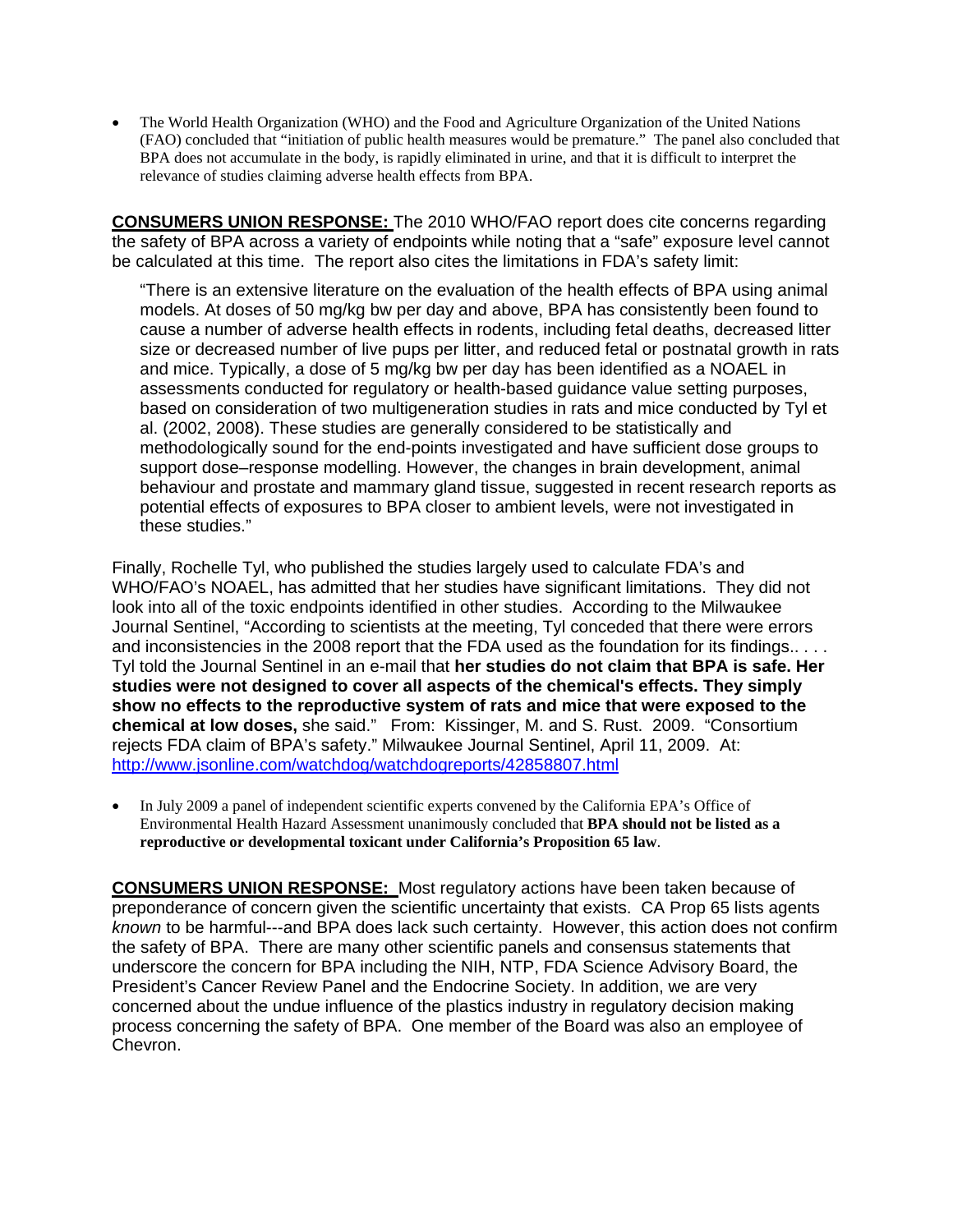• The World Health Organization (WHO) and the Food and Agriculture Organization of the United Nations (FAO) concluded that "initiation of public health measures would be premature." The panel also concluded that BPA does not accumulate in the body, is rapidly eliminated in urine, and that it is difficult to interpret the relevance of studies claiming adverse health effects from BPA.

**CONSUMERS UNION RESPONSE:** The 2010 WHO/FAO report does cite concerns regarding the safety of BPA across a variety of endpoints while noting that a "safe" exposure level cannot be calculated at this time. The report also cites the limitations in FDA's safety limit:

"There is an extensive literature on the evaluation of the health effects of BPA using animal models. At doses of 50 mg/kg bw per day and above, BPA has consistently been found to cause a number of adverse health effects in rodents, including fetal deaths, decreased litter size or decreased number of live pups per litter, and reduced fetal or postnatal growth in rats and mice. Typically, a dose of 5 mg/kg bw per day has been identified as a NOAEL in assessments conducted for regulatory or health-based guidance value setting purposes, based on consideration of two multigeneration studies in rats and mice conducted by Tyl et al. (2002, 2008). These studies are generally considered to be statistically and methodologically sound for the end-points investigated and have sufficient dose groups to support dose–response modelling. However, the changes in brain development, animal behaviour and prostate and mammary gland tissue, suggested in recent research reports as potential effects of exposures to BPA closer to ambient levels, were not investigated in these studies."

Finally, Rochelle Tyl, who published the studies largely used to calculate FDA's and WHO/FAO's NOAEL, has admitted that her studies have significant limitations. They did not look into all of the toxic endpoints identified in other studies. According to the Milwaukee Journal Sentinel, "According to scientists at the meeting, Tyl conceded that there were errors and inconsistencies in the 2008 report that the FDA used as the foundation for its findings.... Tyl told the Journal Sentinel in an e-mail that **her studies do not claim that BPA is safe. Her studies were not designed to cover all aspects of the chemical's effects. They simply show no effects to the reproductive system of rats and mice that were exposed to the chemical at low doses,** she said." From: Kissinger, M. and S. Rust. 2009. "Consortium rejects FDA claim of BPA's safety." Milwaukee Journal Sentinel, April 11, 2009. At: <http://www.jsonline.com/watchdog/watchdogreports/42858807.html>

• In July 2009 a panel of independent scientific experts convened by the California EPA's Office of Environmental Health Hazard Assessment unanimously concluded that **BPA should not be listed as a reproductive or developmental toxicant under California's Proposition 65 law**.

**CONSUMERS UNION RESPONSE:** Most regulatory actions have been taken because of preponderance of concern given the scientific uncertainty that exists. CA Prop 65 lists agents *known* to be harmful---and BPA does lack such certainty. However, this action does not confirm the safety of BPA. There are many other scientific panels and consensus statements that underscore the concern for BPA including the NIH, NTP, FDA Science Advisory Board, the President's Cancer Review Panel and the Endocrine Society. In addition, we are very concerned about the undue influence of the plastics industry in regulatory decision making process concerning the safety of BPA. One member of the Board was also an employee of Chevron.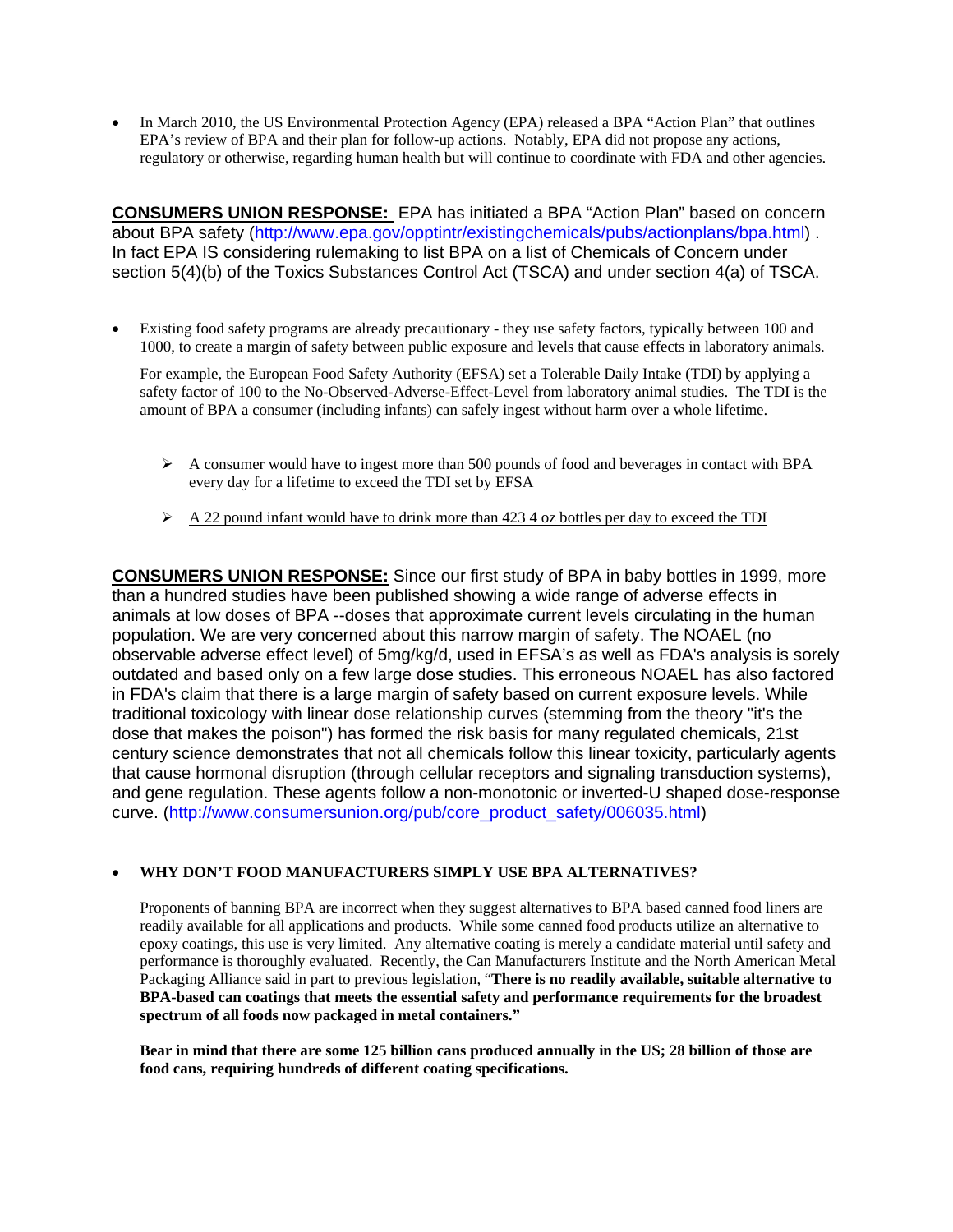• In March 2010, the US Environmental Protection Agency (EPA) released a BPA "Action Plan" that outlines EPA's review of BPA and their plan for follow-up actions. Notably, EPA did not propose any actions, regulatory or otherwise, regarding human health but will continue to coordinate with FDA and other agencies.

**CONSUMERS UNION RESPONSE:** EPA has initiated a BPA "Action Plan" based on concern about BPA safety (<http://www.epa.gov/opptintr/existingchemicals/pubs/actionplans/bpa.html>) . In fact EPA IS considering rulemaking to list BPA on a list of Chemicals of Concern under section 5(4)(b) of the Toxics Substances Control Act (TSCA) and under section 4(a) of TSCA.

• Existing food safety programs are already precautionary - they use safety factors, typically between 100 and 1000, to create a margin of safety between public exposure and levels that cause effects in laboratory animals.

For example, the European Food Safety Authority (EFSA) set a Tolerable Daily Intake (TDI) by applying a safety factor of 100 to the No-Observed-Adverse-Effect-Level from laboratory animal studies. The TDI is the amount of BPA a consumer (including infants) can safely ingest without harm over a whole lifetime.

- $\triangleright$  A consumer would have to ingest more than 500 pounds of food and beverages in contact with BPA every day for a lifetime to exceed the TDI set by EFSA
- $\triangleright$  A 22 pound infant would have to drink more than 423 4 oz bottles per day to exceed the TDI

**CONSUMERS UNION RESPONSE:** Since our first study of BPA in baby bottles in 1999, more than a hundred studies have been published showing a wide range of adverse effects in animals at low doses of BPA --doses that approximate current levels circulating in the human population. We are very concerned about this narrow margin of safety. The NOAEL (no observable adverse effect level) of 5mg/kg/d, used in EFSA's as well as FDA's analysis is sorely outdated and based only on a few large dose studies. This erroneous NOAEL has also factored in FDA's claim that there is a large margin of safety based on current exposure levels. While traditional toxicology with linear dose relationship curves (stemming from the theory "it's the dose that makes the poison") has formed the risk basis for many regulated chemicals, 21st century science demonstrates that not all chemicals follow this linear toxicity, particularly agents that cause hormonal disruption (through cellular receptors and signaling transduction systems), and gene regulation. These agents follow a non-monotonic or inverted-U shaped dose-response curve. ([http://www.consumersunion.org/pub/core\\_product\\_safety/006035.html](http://www.consumersunion.org/pub/core_product_safety/006035.html))

#### • **WHY DON'T FOOD MANUFACTURERS SIMPLY USE BPA ALTERNATIVES?**

Proponents of banning BPA are incorrect when they suggest alternatives to BPA based canned food liners are readily available for all applications and products. While some canned food products utilize an alternative to epoxy coatings, this use is very limited. Any alternative coating is merely a candidate material until safety and performance is thoroughly evaluated. Recently, the Can Manufacturers Institute and the North American Metal Packaging Alliance said in part to previous legislation, "**There is no readily available, suitable alternative to BPA-based can coatings that meets the essential safety and performance requirements for the broadest spectrum of all foods now packaged in metal containers."** 

**Bear in mind that there are some 125 billion cans produced annually in the US; 28 billion of those are food cans, requiring hundreds of different coating specifications.**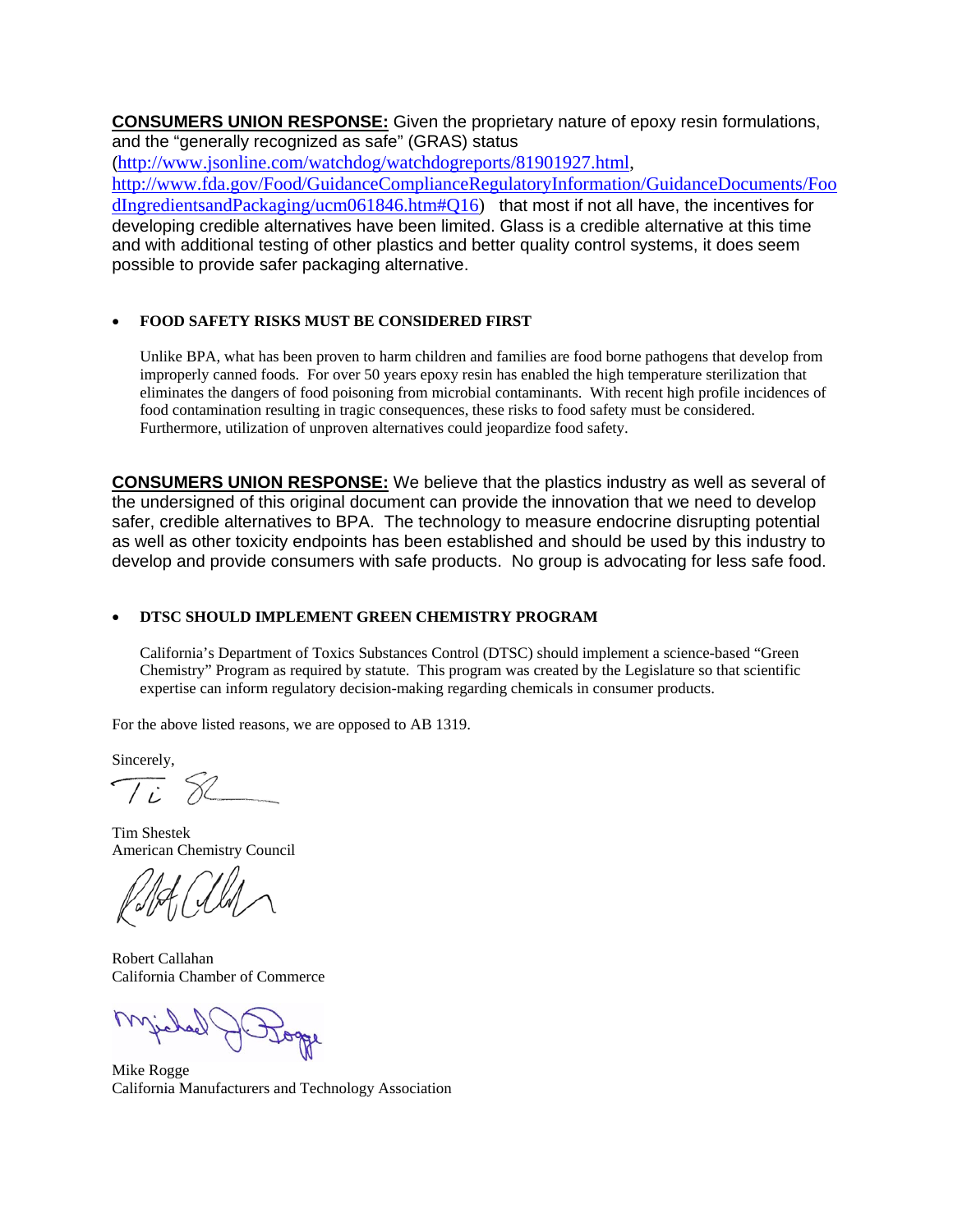**CONSUMERS UNION RESPONSE:** Given the proprietary nature of epoxy resin formulations, and the "generally recognized as safe" (GRAS) status

([http://www.jsonline.com/watchdog/watchdogreports/81901927.html,](https://www.cu-mail.org/OWA/redir.aspx?C=6183c2ab96da4afd98c57b5f8071aaca&URL=http%3a%2f%2fwww.jsonline.com%2fwatchdog%2fwatchdogreports%2f81901927.html) [http://www.fda.gov/Food/GuidanceComplianceRegulatoryInformation/GuidanceDocuments/Foo](https://www.cu-mail.org/OWA/redir.aspx?C=6183c2ab96da4afd98c57b5f8071aaca&URL=http%3a%2f%2fwww.fda.gov%2fFood%2fGuidanceComplianceRegulatoryInformation%2fGuidanceDocuments%2fFoodIngredientsandPackaging%2fucm061846.htm%23Q16) [dIngredientsandPackaging/ucm061846.htm#Q16\)](https://www.cu-mail.org/OWA/redir.aspx?C=6183c2ab96da4afd98c57b5f8071aaca&URL=http%3a%2f%2fwww.fda.gov%2fFood%2fGuidanceComplianceRegulatoryInformation%2fGuidanceDocuments%2fFoodIngredientsandPackaging%2fucm061846.htm%23Q16) that most if not all have, the incentives for developing credible alternatives have been limited. Glass is a credible alternative at this time and with additional testing of other plastics and better quality control systems, it does seem possible to provide safer packaging alternative.

### • **FOOD SAFETY RISKS MUST BE CONSIDERED FIRST**

Unlike BPA, what has been proven to harm children and families are food borne pathogens that develop from improperly canned foods. For over 50 years epoxy resin has enabled the high temperature sterilization that eliminates the dangers of food poisoning from microbial contaminants. With recent high profile incidences of food contamination resulting in tragic consequences, these risks to food safety must be considered. Furthermore, utilization of unproven alternatives could jeopardize food safety.

**CONSUMERS UNION RESPONSE:** We believe that the plastics industry as well as several of the undersigned of this original document can provide the innovation that we need to develop safer, credible alternatives to BPA. The technology to measure endocrine disrupting potential as well as other toxicity endpoints has been established and should be used by this industry to develop and provide consumers with safe products. No group is advocating for less safe food.

### • **DTSC SHOULD IMPLEMENT GREEN CHEMISTRY PROGRAM**

California's Department of Toxics Substances Control (DTSC) should implement a science-based "Green Chemistry" Program as required by statute. This program was created by the Legislature so that scientific expertise can inform regulatory decision-making regarding chemicals in consumer products.

For the above listed reasons, we are opposed to AB 1319.

Sincerely,

 $\int$  i

Tim Shestek American Chemistry Council

Robert Callahan California Chamber of Commerce

Mike Rogge California Manufacturers and Technology Association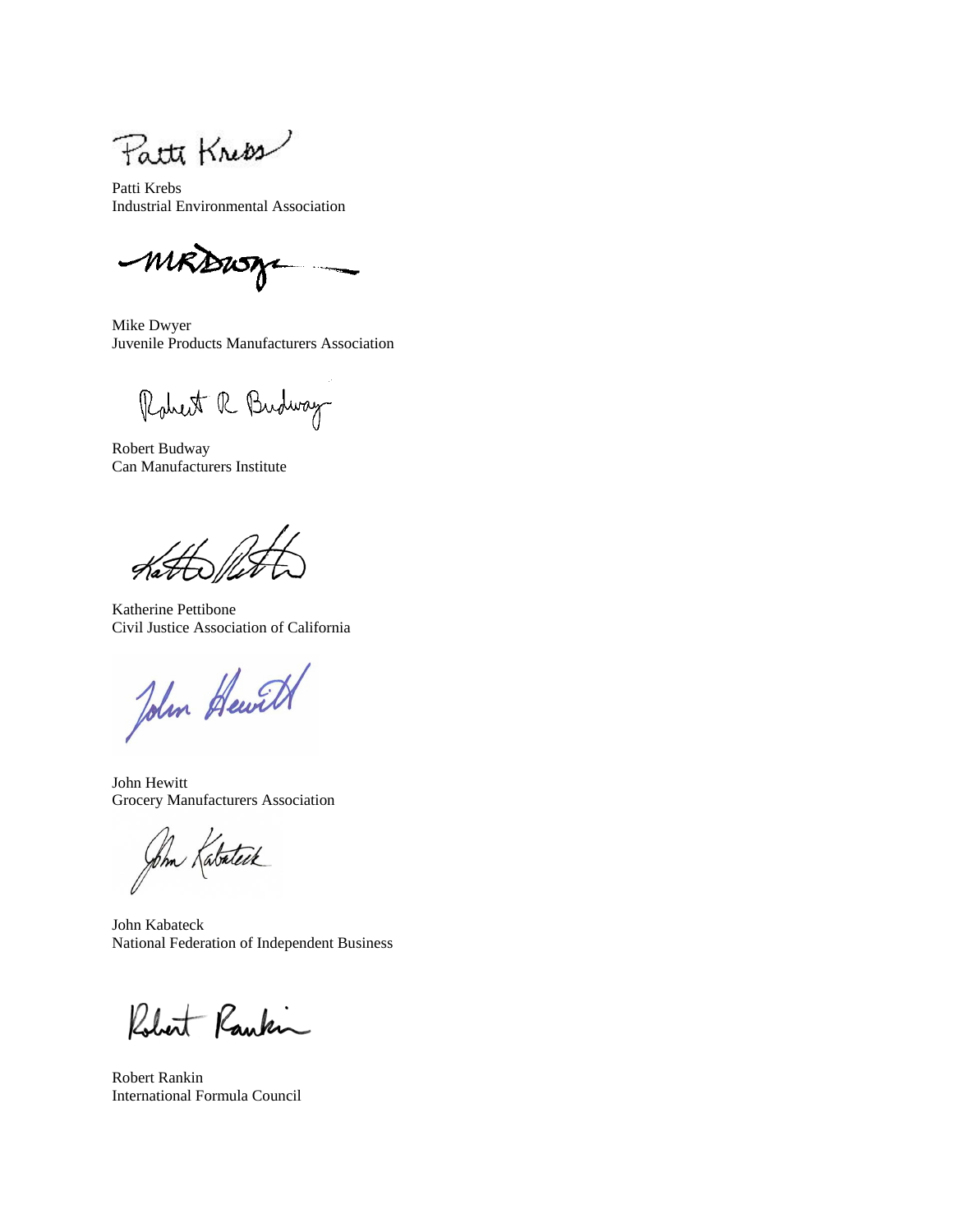Patte Know

Patti Krebs Industrial Environmental Association

MRDWA

Mike Dwyer Juvenile Products Manufacturers Association

Robert R Budway

Robert Budway Can Manufacturers Institute

 $\frac{1}{\sqrt{2}}$ 

Katherine Pettibone Civil Justice Association of California

John Hewitt

John Hewitt Grocery Manufacturers Association

John Katateik

John Kabateck National Federation of Independent Business

Robert Rankin

Robert Rankin International Formula Council